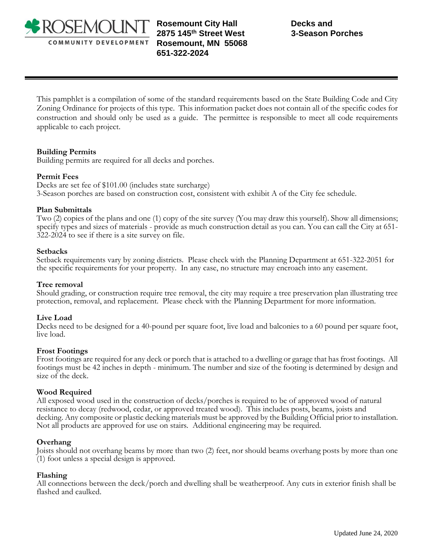

**Rosemount City Hall 2875 145th Street West Rosemount, MN 55068 651-322-2024** 

This pamphlet is a compilation of some of the standard requirements based on the State Building Code and City Zoning Ordinance for projects of this type. This information packet does not contain all of the specific codes for construction and should only be used as a guide. The permittee is responsible to meet all code requirements applicable to each project.

## **Building Permits**

Building permits are required for all decks and porches.

### **Permit Fees**

Decks are set fee of \$101.00 (includes state surcharge) 3-Season porches are based on construction cost, consistent with exhibit A of the City fee schedule.

### **Plan Submittals**

Two (2) copies of the plans and one (1) copy of the site survey (You may draw this yourself). Show all dimensions; specify types and sizes of materials - provide as much construction detail as you can. You can call the City at 651- 322-2024 to see if there is a site survey on file.

#### **Setbacks**

Setback requirements vary by zoning districts. Please check with the Planning Department at 651-322-2051 for the specific requirements for your property. In any case, no structure may encroach into any easement.

### **Tree removal**

Should grading, or construction require tree removal, the city may require a tree preservation plan illustrating tree protection, removal, and replacement. Please check with the Planning Department for more information.

### **Live Load**

Decks need to be designed for a 40-pound per square foot, live load and balconies to a 60 pound per square foot, live load.

#### **Frost Footings**

Frost footings are required for any deck or porch that is attached to a dwelling or garage that has frost footings. All footings must be 42 inches in depth - minimum. The number and size of the footing is determined by design and size of the deck.

### **Wood Required**

All exposed wood used in the construction of decks/porches is required to be of approved wood of natural resistance to decay (redwood, cedar, or approved treated wood). This includes posts, beams, joists and decking. Any composite or plastic decking materials must be approved by the Building Official prior to installation. Not all products are approved for use on stairs. Additional engineering may be required.

### **Overhang**

Joists should not overhang beams by more than two (2) feet, nor should beams overhang posts by more than one (1) foot unless a special design is approved.

### **Flashing**

All connections between the deck/porch and dwelling shall be weatherproof. Any cuts in exterior finish shall be flashed and caulked.